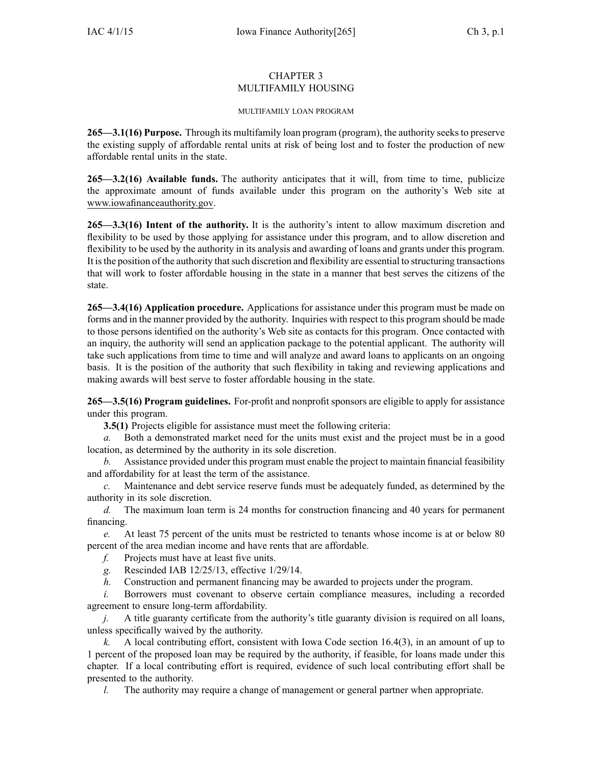## CHAPTER 3 MULTIFAMILY HOUSING

### MULTIFAMILY LOAN PROGRAM

**265—3.1(16) Purpose.** Through its multifamily loan program (program), the authority seeks to preserve the existing supply of affordable rental units at risk of being lost and to foster the production of new affordable rental units in the state.

**265—3.2(16) Available funds.** The authority anticipates that it will, from time to time, publicize the approximate amount of funds available under this program on the authority's Web site at www.iowafinanceauthority.gov.

**265—3.3(16) Intent of the authority.** It is the authority's intent to allow maximum discretion and flexibility to be used by those applying for assistance under this program, and to allow discretion and flexibility to be used by the authority in its analysis and awarding of loans and grants under this program. It isthe position of the authority thatsuch discretion and flexibility are essential to structuring transactions that will work to foster affordable housing in the state in <sup>a</sup> manner that best serves the citizens of the state.

**265—3.4(16) Application procedure.** Applications for assistance under this program must be made on forms and in the manner provided by the authority. Inquiries with respec<sup>t</sup> to this program should be made to those persons identified on the authority's Web site as contacts for this program. Once contacted with an inquiry, the authority will send an application package to the potential applicant. The authority will take such applications from time to time and will analyze and award loans to applicants on an ongoing basis. It is the position of the authority that such flexibility in taking and reviewing applications and making awards will best serve to foster affordable housing in the state.

**265—3.5(16) Program guidelines.** For-profit and nonprofit sponsors are eligible to apply for assistance under this program.

**3.5(1)** Projects eligible for assistance must meet the following criteria:

*a.* Both <sup>a</sup> demonstrated market need for the units must exist and the project must be in <sup>a</sup> good location, as determined by the authority in its sole discretion.

*b.* Assistance provided under this program must enable the project to maintain financial feasibility and affordability for at least the term of the assistance.

*c.* Maintenance and debt service reserve funds must be adequately funded, as determined by the authority in its sole discretion.

*d.* The maximum loan term is 24 months for construction financing and 40 years for permanen<sup>t</sup> financing.

*e.* At least 75 percen<sup>t</sup> of the units must be restricted to tenants whose income is at or below 80 percen<sup>t</sup> of the area median income and have rents that are affordable.

- *f.* Projects must have at least five units.
- *g.* Rescinded IAB 12/25/13, effective 1/29/14.
- *h.* Construction and permanen<sup>t</sup> financing may be awarded to projects under the program.

*i.* Borrowers must covenant to observe certain compliance measures, including a recorded agreemen<sup>t</sup> to ensure long-term affordability.

*j.* A title guaranty certificate from the authority's title guaranty division is required on all loans, unless specifically waived by the authority.

*k.* A local contributing effort, consistent with Iowa Code section [16.4\(3\)](https://www.legis.iowa.gov/docs/ico/section/16.4.pdf), in an amount of up to 1 percen<sup>t</sup> of the proposed loan may be required by the authority, if feasible, for loans made under this chapter. If <sup>a</sup> local contributing effort is required, evidence of such local contributing effort shall be presented to the authority.

*l.* The authority may require a change of management or general partner when appropriate.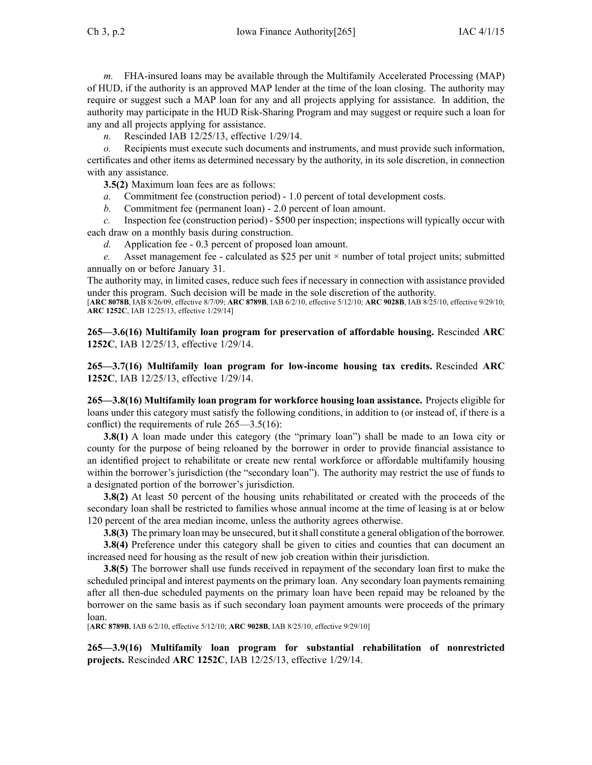*m.* FHA-insured loans may be available through the Multifamily Accelerated Processing (MAP) of HUD, if the authority is an approved MAP lender at the time of the loan closing. The authority may require or sugges<sup>t</sup> such <sup>a</sup> MAP loan for any and all projects applying for assistance. In addition, the authority may participate in the HUD Risk-Sharing Program and may sugges<sup>t</sup> or require such <sup>a</sup> loan for any and all projects applying for assistance.

*n.* Rescinded IAB 12/25/13, effective 1/29/14.

*o.* Recipients must execute such documents and instruments, and must provide such information, certificates and other items as determined necessary by the authority, in its sole discretion, in connection with any assistance.

**3.5(2)** Maximum loan fees are as follows:

- *a.* Commitment fee (construction period) 1.0 percen<sup>t</sup> of total development costs.
- *b.* Commitment fee (permanent loan) 2.0 percen<sup>t</sup> of loan amount.

*c.* Inspection fee (construction period) - \$500 per inspection; inspections will typically occur with each draw on <sup>a</sup> monthly basis during construction.

*d.* Application fee - 0.3 percen<sup>t</sup> of proposed loan amount.

*e.* Asset management fee - calculated as \$25 per unit  $\times$  number of total project units; submitted annually on or before January 31.

The authority may, in limited cases, reduce such fees if necessary in connection with assistance provided under this program. Such decision will be made in the sole discretion of the authority.

[**ARC 8078B**, IAB 8/26/09, effective 8/7/09; **ARC 8789B**, IAB 6/2/10, effective 5/12/10; **ARC 9028B**, IAB 8/25/10, effective 9/29/10; **ARC 1252C**, IAB 12/25/13, effective 1/29/14]

**265—3.6(16) Multifamily loan program for preservation of affordable housing.** Rescinded **ARC 1252C**, IAB 12/25/13, effective 1/29/14.

**265—3.7(16) Multifamily loan program for low-income housing tax credits.** Rescinded **ARC 1252C**, IAB 12/25/13, effective 1/29/14.

**265—3.8(16) Multifamily loan program for workforce housing loan assistance.** Projects eligible for loans under this category must satisfy the following conditions, in addition to (or instead of, if there is <sup>a</sup> conflict) the requirements of rule 265—3.5(16):

**3.8(1)** A loan made under this category (the "primary loan") shall be made to an Iowa city or county for the purpose of being reloaned by the borrower in order to provide financial assistance to an identified project to rehabilitate or create new rental workforce or affordable multifamily housing within the borrower's jurisdiction (the "secondary loan"). The authority may restrict the use of funds to <sup>a</sup> designated portion of the borrower's jurisdiction.

**3.8(2)** At least 50 percen<sup>t</sup> of the housing units rehabilitated or created with the proceeds of the secondary loan shall be restricted to families whose annual income at the time of leasing is at or below 120 percen<sup>t</sup> of the area median income, unless the authority agrees otherwise.

**3.8(3)** The primary loan may be unsecured, but it shall constitute a general obligation of the borrower.

**3.8(4)** Preference under this category shall be given to cities and counties that can document an increased need for housing as the result of new job creation within their jurisdiction.

**3.8(5)** The borrower shall use funds received in repaymen<sup>t</sup> of the secondary loan first to make the scheduled principal and interest payments on the primary loan. Any secondary loan payments remaining after all then-due scheduled payments on the primary loan have been repaid may be reloaned by the borrower on the same basis as if such secondary loan paymen<sup>t</sup> amounts were proceeds of the primary loan.

[**ARC 8789B**, IAB 6/2/10, effective 5/12/10; **ARC 9028B**, IAB 8/25/10, effective 9/29/10]

**265—3.9(16) Multifamily loan program for substantial rehabilitation of nonrestricted projects.** Rescinded **ARC 1252C**, IAB 12/25/13, effective 1/29/14.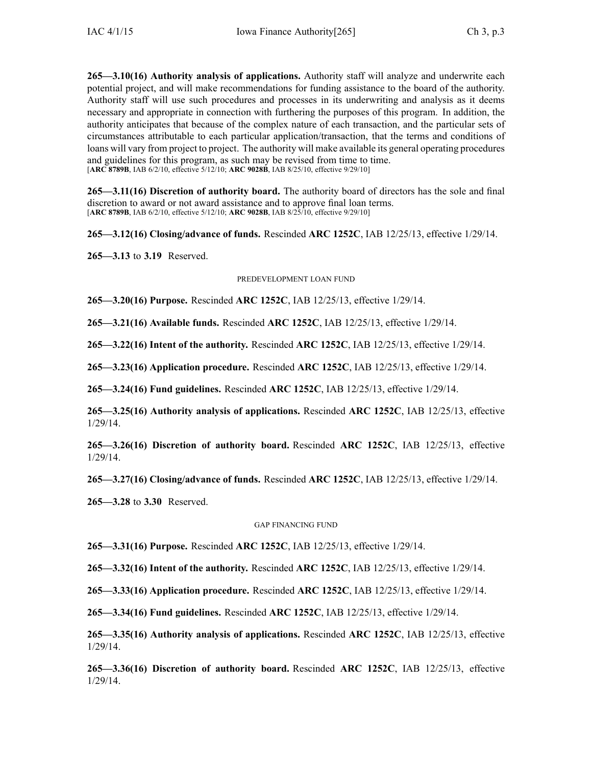**265—3.10(16) Authority analysis of applications.** Authority staff will analyze and underwrite each potential project, and will make recommendations for funding assistance to the board of the authority. Authority staff will use such procedures and processes in its underwriting and analysis as it deems necessary and appropriate in connection with furthering the purposes of this program. In addition, the authority anticipates that because of the complex nature of each transaction, and the particular sets of circumstances attributable to each particular application/transaction, that the terms and conditions of loans will vary from project to project. The authority will make available its general operating procedures and guidelines for this program, as such may be revised from time to time. [**ARC 8789B**, IAB 6/2/10, effective 5/12/10; **ARC 9028B**, IAB 8/25/10, effective 9/29/10]

**265—3.11(16) Discretion of authority board.** The authority board of directors has the sole and final discretion to award or not award assistance and to approve final loan terms. [**ARC 8789B**, IAB 6/2/10, effective 5/12/10; **ARC 9028B**, IAB 8/25/10, effective 9/29/10]

**265—3.12(16) Closing/advance of funds.** Rescinded **ARC 1252C**, IAB 12/25/13, effective 1/29/14.

**265—3.13** to **3.19** Reserved.

### PREDEVELOPMENT LOAN FUND

**265—3.20(16) Purpose.** Rescinded **ARC 1252C**, IAB 12/25/13, effective 1/29/14.

**265—3.21(16) Available funds.** Rescinded **ARC 1252C**, IAB 12/25/13, effective 1/29/14.

**265—3.22(16) Intent of the authority.** Rescinded **ARC 1252C**, IAB 12/25/13, effective 1/29/14.

**265—3.23(16) Application procedure.** Rescinded **ARC 1252C**, IAB 12/25/13, effective 1/29/14.

**265—3.24(16) Fund guidelines.** Rescinded **ARC 1252C**, IAB 12/25/13, effective 1/29/14.

**265—3.25(16) Authority analysis of applications.** Rescinded **ARC 1252C**, IAB 12/25/13, effective 1/29/14.

**265—3.26(16) Discretion of authority board.** Rescinded **ARC 1252C**, IAB 12/25/13, effective 1/29/14.

**265—3.27(16) Closing/advance of funds.** Rescinded **ARC 1252C**, IAB 12/25/13, effective 1/29/14.

**265—3.28** to **3.30** Reserved.

### GAP FINANCING FUND

**265—3.31(16) Purpose.** Rescinded **ARC 1252C**, IAB 12/25/13, effective 1/29/14.

**265—3.32(16) Intent of the authority.** Rescinded **ARC 1252C**, IAB 12/25/13, effective 1/29/14.

**265—3.33(16) Application procedure.** Rescinded **ARC 1252C**, IAB 12/25/13, effective 1/29/14.

**265—3.34(16) Fund guidelines.** Rescinded **ARC 1252C**, IAB 12/25/13, effective 1/29/14.

**265—3.35(16) Authority analysis of applications.** Rescinded **ARC 1252C**, IAB 12/25/13, effective 1/29/14.

**265—3.36(16) Discretion of authority board.** Rescinded **ARC 1252C**, IAB 12/25/13, effective 1/29/14.